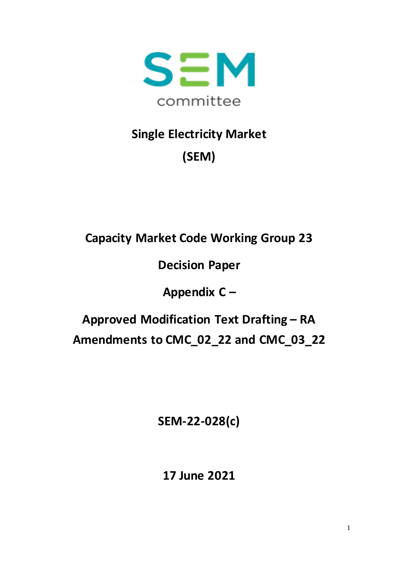

# **Single Electricity Market (SEM)**

**Capacity Market Code Working Group 23**

**Decision Paper** 

**Appendix C –**

**Approved Modification Text Drafting - RA Amendments to CMC\_02\_22 and CMC\_03\_22**

**SEM-22-028(c)**

**17 June 2021**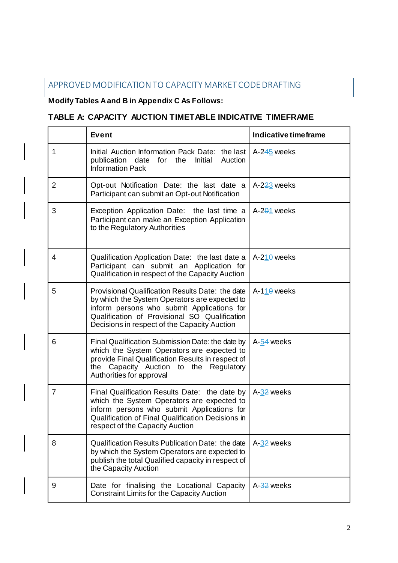## APPROVED MODIFICATION TO CAPACITY MARKET CODE DRAFTING

#### **Modify Tables A and B in Appendix C As Follows:**

### **TABLE A: CAPACITY AUCTION TIMETABLE INDICATIVE TIMEFRAME**

|                | <b>Event</b>                                                                                                                                                                                                                                     | Indicative time frame    |  |
|----------------|--------------------------------------------------------------------------------------------------------------------------------------------------------------------------------------------------------------------------------------------------|--------------------------|--|
| 1              | Initial Auction Information Pack Date: the last<br>publication<br>for<br>Initial<br>Auction<br>date<br>the<br><b>Information Pack</b>                                                                                                            | A-245 weeks              |  |
| $\overline{2}$ | Opt-out Notification Date: the last date a<br>Participant can submit an Opt-out Notification                                                                                                                                                     | A-2 <del>23</del> weeks  |  |
| 3              | Exception Application Date: the last time a<br>Participant can make an Exception Application<br>to the Regulatory Authorities                                                                                                                    | A-2 <del>0</del> 1 weeks |  |
| 4              | Qualification Application Date: the last date a<br>Participant can submit an Application for<br>Qualification in respect of the Capacity Auction                                                                                                 | $A-210$ weeks            |  |
| 5              | Provisional Qualification Results Date: the date<br>by which the System Operators are expected to<br>inform persons who submit Applications for<br>Qualification of Provisional SO Qualification<br>Decisions in respect of the Capacity Auction | $A-110$ weeks            |  |
| 6              | Final Qualification Submission Date: the date by<br>which the System Operators are expected to<br>provide Final Qualification Results in respect of<br>Capacity Auction to the Regulatory<br>the<br>Authorities for approval                     | A-54 weeks               |  |
| $\overline{7}$ | Final Qualification Results Date: the date by<br>which the System Operators are expected to<br>inform persons who submit Applications for<br>Qualification of Final Qualification Decisions in<br>respect of the Capacity Auction                | A-32 weeks               |  |
| 8              | <b>Qualification Results Publication Date: the date</b><br>A-32 weeks<br>by which the System Operators are expected to<br>publish the total Qualified capacity in respect of<br>the Capacity Auction                                             |                          |  |
| 9              | Date for finalising the Locational Capacity<br><b>Constraint Limits for the Capacity Auction</b>                                                                                                                                                 | A-32 weeks               |  |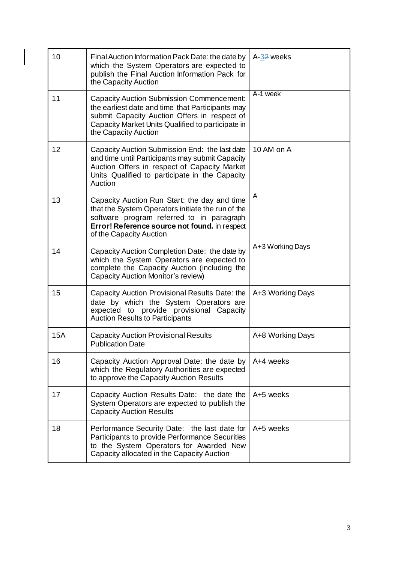| 10         | Final Auction Information Pack Date: the date by<br>which the System Operators are expected to<br>publish the Final Auction Information Pack for<br>the Capacity Auction                                                          | A-32 weeks       |  |
|------------|-----------------------------------------------------------------------------------------------------------------------------------------------------------------------------------------------------------------------------------|------------------|--|
| 11         | <b>Capacity Auction Submission Commencement:</b><br>the earliest date and time that Participants may<br>submit Capacity Auction Offers in respect of<br>Capacity Market Units Qualified to participate in<br>the Capacity Auction | A-1 week         |  |
| 12         | Capacity Auction Submission End: the last date<br>and time until Participants may submit Capacity<br>Auction Offers in respect of Capacity Market<br>Units Qualified to participate in the Capacity<br>Auction                    | 10 AM on A       |  |
| 13         | Capacity Auction Run Start: the day and time<br>that the System Operators initiate the run of the<br>software program referred to in paragraph<br>Error! Reference source not found. in respect<br>of the Capacity Auction        | A                |  |
| 14         | Capacity Auction Completion Date: the date by<br>which the System Operators are expected to<br>complete the Capacity Auction (including the<br>Capacity Auction Monitor's review)                                                 | A+3 Working Days |  |
| 15         | Capacity Auction Provisional Results Date: the<br>date by which the System Operators are<br>expected to provide provisional Capacity<br><b>Auction Results to Participants</b>                                                    | A+3 Working Days |  |
| <b>15A</b> | <b>Capacity Auction Provisional Results</b><br><b>Publication Date</b>                                                                                                                                                            | A+8 Working Days |  |
| 16         | Capacity Auction Approval Date: the date by<br>which the Regulatory Authorities are expected<br>to approve the Capacity Auction Results                                                                                           | A+4 weeks        |  |
| 17         | Capacity Auction Results Date: the date the<br>System Operators are expected to publish the<br><b>Capacity Auction Results</b>                                                                                                    | A+5 weeks        |  |
| 18         | Performance Security Date: the last date for<br>Participants to provide Performance Securities<br>to the System Operators for Awarded New<br>Capacity allocated in the Capacity Auction                                           | A+5 weeks        |  |

 $\begin{array}{c} \hline \end{array}$